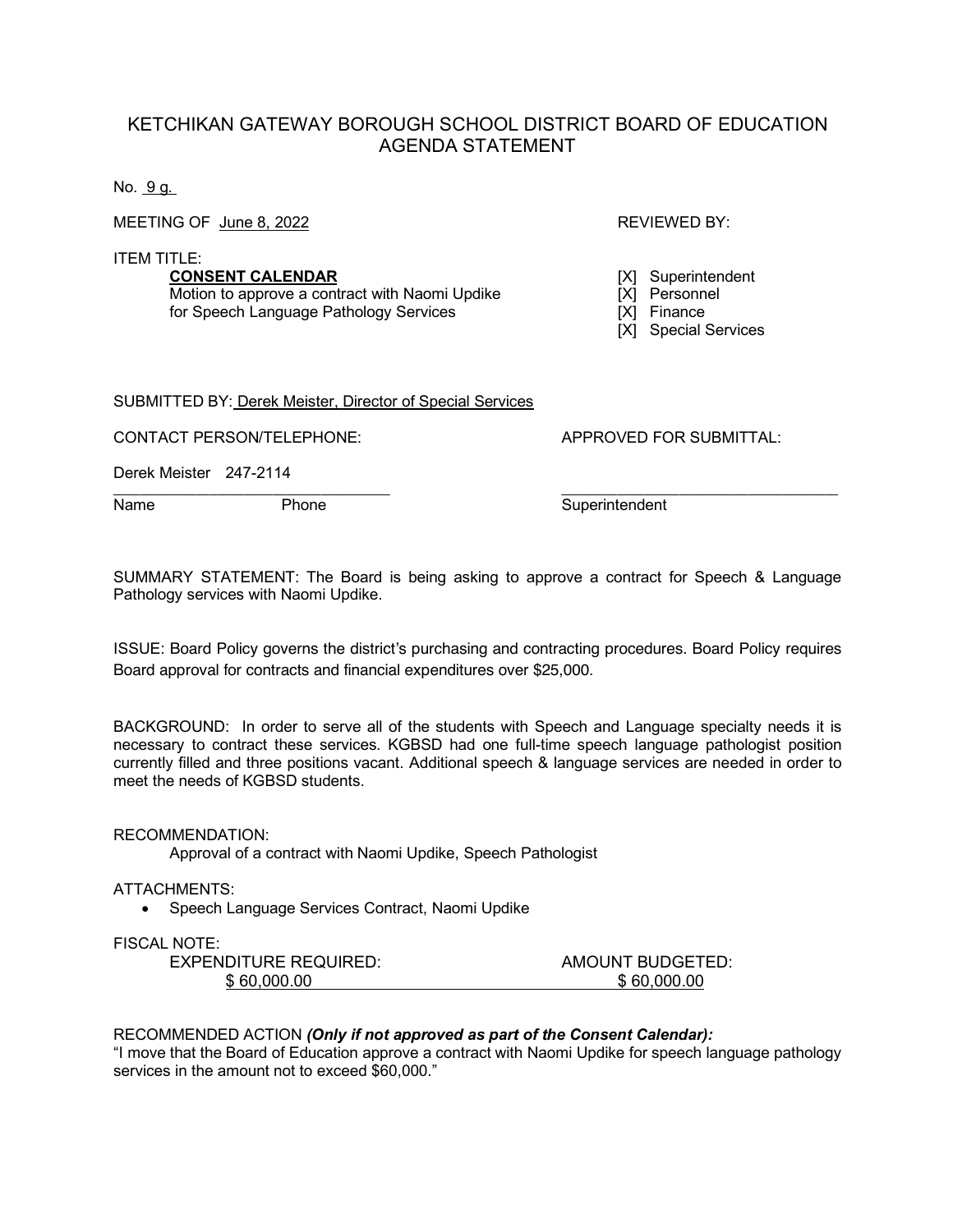## KETCHIKAN GATEWAY BOROUGH SCHOOL DISTRICT BOARD OF EDUCATION AGENDA STATEMENT

No. 9 g.

MEETING OF June 8, 2022 **REVIEWED BY:** REVIEWED BY:

ITEM TITLE:

**CONSENT CALENDAR** [X] Superintendent<br>
Motion to approve a contract with Naomi Updike [X] Personnel Motion to approve a contract with Naomi Updike [X] Personne<br>for Speech Language Pathology Services [X] Finance for Speech Language Pathology Services

[X] Special Services

SUBMITTED BY: Derek Meister, Director of Special Services

CONTACT PERSON/TELEPHONE: APPROVED FOR SUBMITTAL:

Derek Meister 247-2114

Name Phone Phone Superintendent

SUMMARY STATEMENT: The Board is being asking to approve a contract for Speech & Language Pathology services with Naomi Updike.

\_\_\_\_\_\_\_\_\_\_\_\_\_\_\_\_\_\_\_\_\_\_\_\_\_\_\_\_\_\_\_\_\_\_\_\_\_\_\_\_ \_\_\_\_\_\_\_\_\_\_\_\_\_\_\_\_\_\_\_\_\_\_\_\_\_\_\_\_\_\_\_\_\_\_\_\_\_\_\_\_

ISSUE: Board Policy governs the district's purchasing and contracting procedures. Board Policy requires Board approval for contracts and financial expenditures over \$25,000.

BACKGROUND: In order to serve all of the students with Speech and Language specialty needs it is necessary to contract these services. KGBSD had one full-time speech language pathologist position currently filled and three positions vacant. Additional speech & language services are needed in order to meet the needs of KGBSD students.

RECOMMENDATION:

Approval of a contract with Naomi Updike, Speech Pathologist

ATTACHMENTS:

• Speech Language Services Contract, Naomi Updike

FISCAL NOTE:

| EXPENDITURE REQUIRED: | AMOUNT BUDGETED: |
|-----------------------|------------------|
| \$60,000.00           | \$60,000,00      |

## RECOMMENDED ACTION *(Only if not approved as part of the Consent Calendar):*

"I move that the Board of Education approve a contract with Naomi Updike for speech language pathology services in the amount not to exceed \$60,000."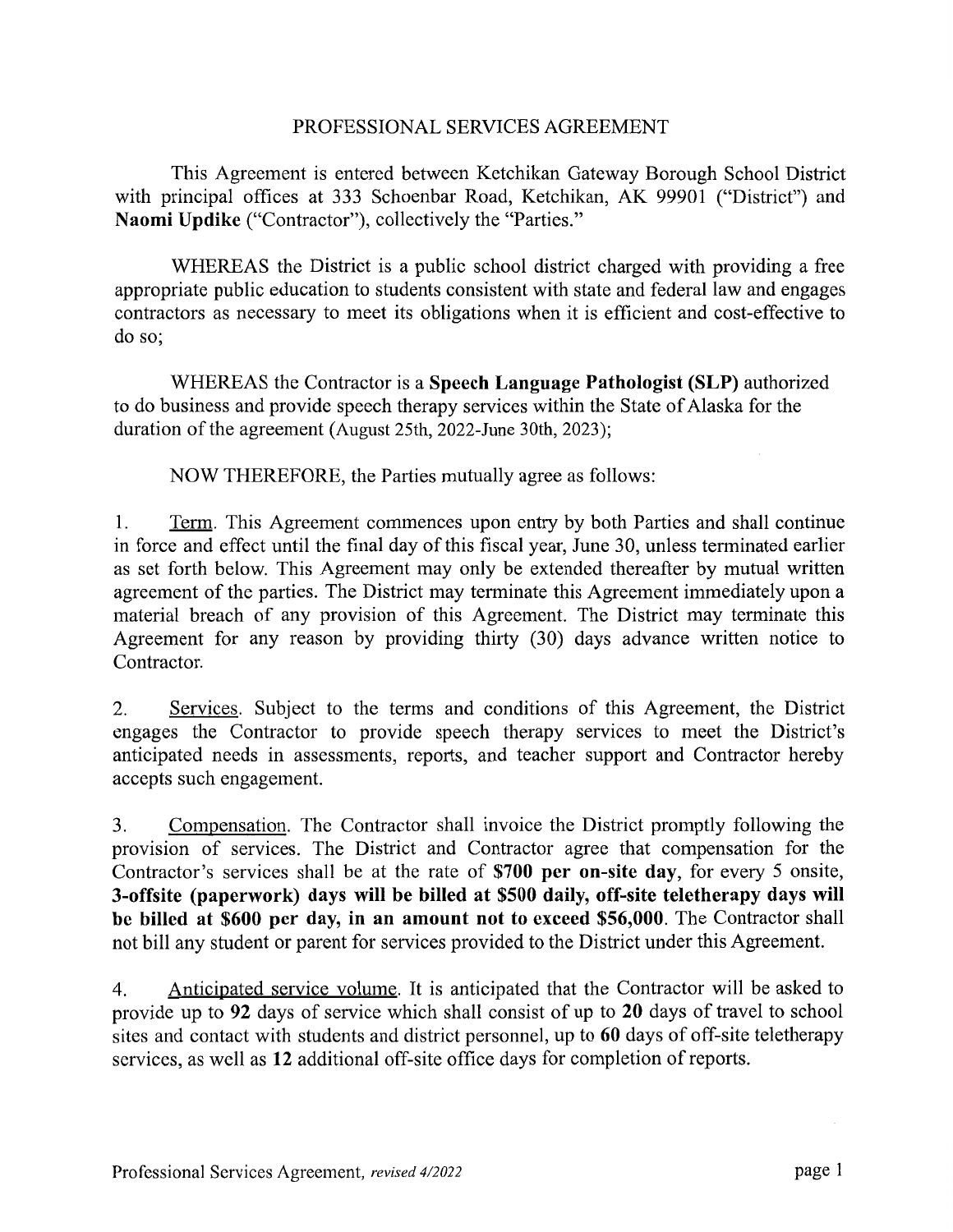## PROFESSIONAL SERVICES AGREEMENT

This Agreement is entered between Ketchikan Gateway Borough School District with principal offices at 333 Schoenbar Road, Ketchikan, AK 99901 ("District") and Naomi Updike ("Contractor"), collectively the "Parties."

WHEREAS the District is a public school district charged with providing a free appropriate public education to students consistent with state and federal law and engages contractors as necessary to meet its obligations when it is efficient and cost-effective to do so:

WHEREAS the Contractor is a Speech Language Pathologist (SLP) authorized to do business and provide speech therapy services within the State of Alaska for the duration of the agreement (August 25th, 2022-June 30th, 2023);

NOW THEREFORE, the Parties mutually agree as follows:

Term. This Agreement commences upon entry by both Parties and shall continue 1. in force and effect until the final day of this fiscal year, June 30, unless terminated earlier as set forth below. This Agreement may only be extended thereafter by mutual written agreement of the parties. The District may terminate this Agreement immediately upon a material breach of any provision of this Agreement. The District may terminate this Agreement for any reason by providing thirty (30) days advance written notice to Contractor.

Services. Subject to the terms and conditions of this Agreement, the District 2. engages the Contractor to provide speech therapy services to meet the District's anticipated needs in assessments, reports, and teacher support and Contractor hereby accepts such engagement.

Compensation. The Contractor shall invoice the District promptly following the 3. provision of services. The District and Contractor agree that compensation for the Contractor's services shall be at the rate of \$700 per on-site day, for every 5 onsite, 3-offsite (paperwork) days will be billed at \$500 daily, off-site teletherapy days will be billed at \$600 per day, in an amount not to exceed \$56,000. The Contractor shall not bill any student or parent for services provided to the District under this Agreement.

Anticipated service volume. It is anticipated that the Contractor will be asked to  $\overline{4}$ . provide up to 92 days of service which shall consist of up to 20 days of travel to school sites and contact with students and district personnel, up to 60 days of off-site teletherapy services, as well as 12 additional off-site office days for completion of reports.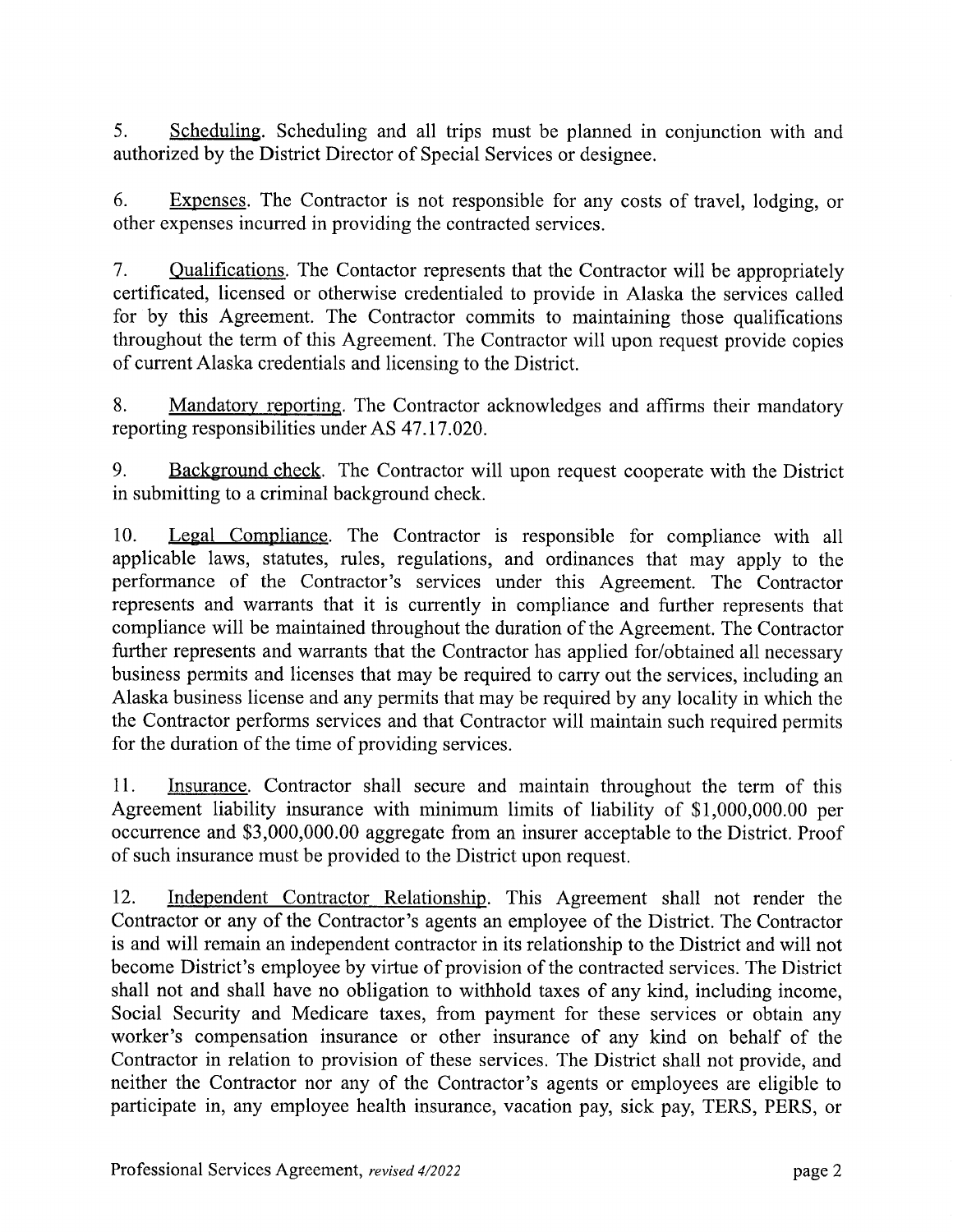$5<sub>1</sub>$ Scheduling. Scheduling and all trips must be planned in conjunction with and authorized by the District Director of Special Services or designee.

6. **Expenses.** The Contractor is not responsible for any costs of travel, lodging, or other expenses incurred in providing the contracted services.

7. <u>Qualifications</u>. The Contactor represents that the Contractor will be appropriately certificated, licensed or otherwise credentialed to provide in Alaska the services called for by this Agreement. The Contractor commits to maintaining those qualifications throughout the term of this Agreement. The Contractor will upon request provide copies of current Alaska credentials and licensing to the District.

8. Mandatory reporting. The Contractor acknowledges and affirms their mandatory reporting responsibilities under AS 47.17.020.

9. Background check. The Contractor will upon request cooperate with the District in submitting to a criminal background check.

10. Legal Compliance. The Contractor is responsible for compliance with all applicable laws, statutes, rules, regulations, and ordinances that may apply to the performance of the Contractor's services under this Agreement. The Contractor represents and warrants that it is currently in compliance and further represents that compliance will be maintained throughout the duration of the Agreement. The Contractor further represents and warrants that the Contractor has applied for/obtained all necessary business permits and licenses that may be required to carry out the services, including an Alaska business license and any permits that may be required by any locality in which the the Contractor performs services and that Contractor will maintain such required permits for the duration of the time of providing services.

11. Insurance. Contractor shall secure and maintain throughout the term of this Agreement liability insurance with minimum limits of liability of \$1,000,000.00 per occurrence and \$3,000,000.00 aggregate from an insurer acceptable to the District. Proof of such insurance must be provided to the District upon request.

12. Independent Contractor Relationship. This Agreement shall not render the Contractor or any of the Contractor's agents an employee of the District. The Contractor is and will remain an independent contractor in its relationship to the District and will not become District's employee by virtue of provision of the contracted services. The District shall not and shall have no obligation to withhold taxes of any kind, including income, Social Security and Medicare taxes, from payment for these services or obtain any worker's compensation insurance or other insurance of any kind on behalf of the Contractor in relation to provision of these services. The District shall not provide, and neither the Contractor nor any of the Contractor's agents or employees are eligible to participate in, any employee health insurance, vacation pay, sick pay, TERS, PERS, or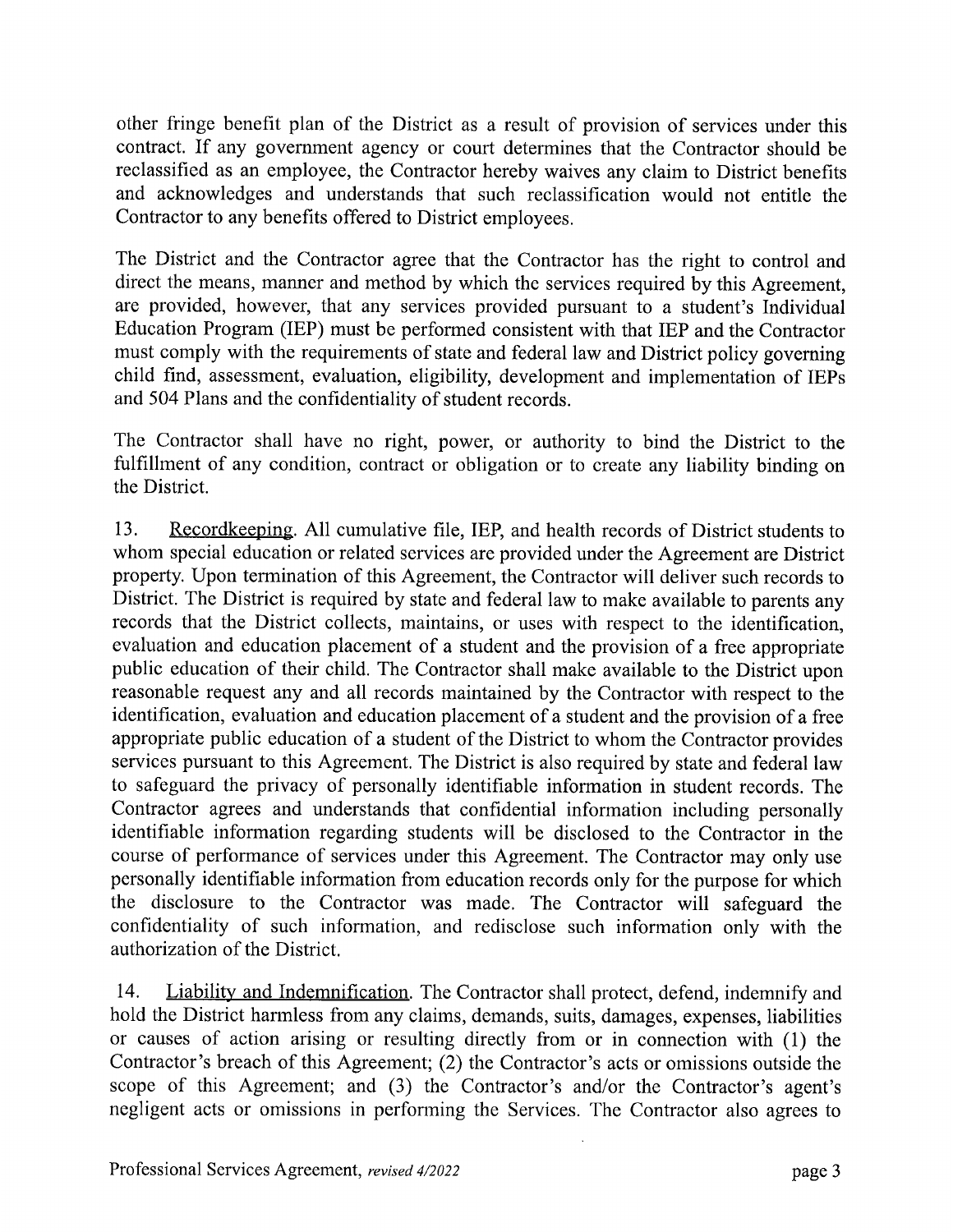other fringe benefit plan of the District as a result of provision of services under this contract. If any government agency or court determines that the Contractor should be reclassified as an employee, the Contractor hereby waives any claim to District benefits and acknowledges and understands that such reclassification would not entitle the Contractor to any benefits offered to District employees.

The District and the Contractor agree that the Contractor has the right to control and direct the means, manner and method by which the services required by this Agreement. are provided, however, that any services provided pursuant to a student's Individual Education Program (IEP) must be performed consistent with that IEP and the Contractor must comply with the requirements of state and federal law and District policy governing child find, assessment, evaluation, eligibility, development and implementation of IEPs and 504 Plans and the confidentiality of student records.

The Contractor shall have no right, power, or authority to bind the District to the fulfillment of any condition, contract or obligation or to create any liability binding on the District.

Recordkeeping. All cumulative file, IEP, and health records of District students to 13. whom special education or related services are provided under the Agreement are District property. Upon termination of this Agreement, the Contractor will deliver such records to District. The District is required by state and federal law to make available to parents any records that the District collects, maintains, or uses with respect to the identification, evaluation and education placement of a student and the provision of a free appropriate public education of their child. The Contractor shall make available to the District upon reasonable request any and all records maintained by the Contractor with respect to the identification, evaluation and education placement of a student and the provision of a free appropriate public education of a student of the District to whom the Contractor provides services pursuant to this Agreement. The District is also required by state and federal law to safeguard the privacy of personally identifiable information in student records. The Contractor agrees and understands that confidential information including personally identifiable information regarding students will be disclosed to the Contractor in the course of performance of services under this Agreement. The Contractor may only use personally identifiable information from education records only for the purpose for which the disclosure to the Contractor was made. The Contractor will safeguard the confidentiality of such information, and redisclose such information only with the authorization of the District.

14. Liability and Indemnification. The Contractor shall protect, defend, indemnify and hold the District harmless from any claims, demands, suits, damages, expenses, liabilities or causes of action arising or resulting directly from or in connection with (1) the Contractor's breach of this Agreement; (2) the Contractor's acts or omissions outside the scope of this Agreement; and (3) the Contractor's and/or the Contractor's agent's negligent acts or omissions in performing the Services. The Contractor also agrees to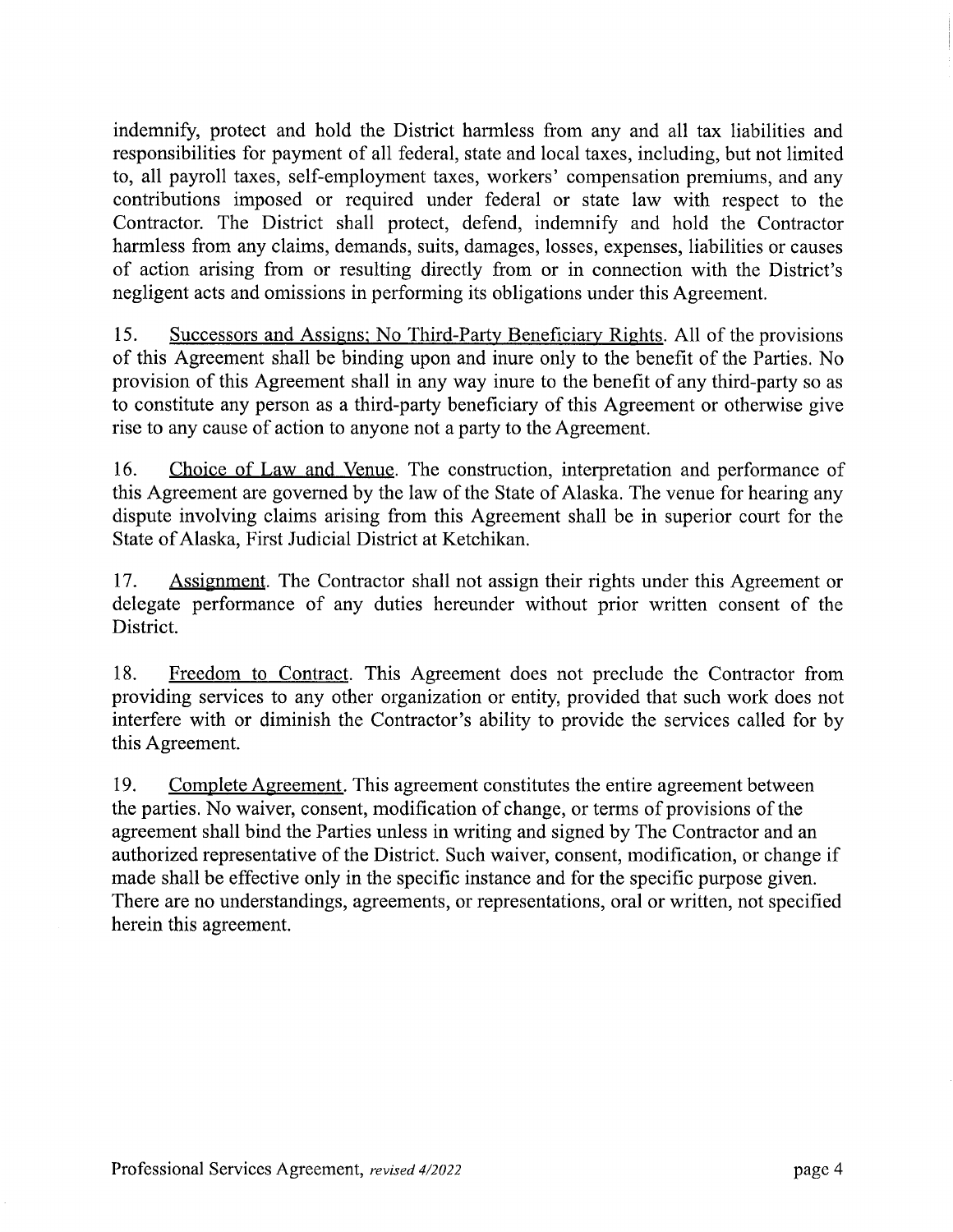indemnify, protect and hold the District harmless from any and all tax liabilities and responsibilities for payment of all federal, state and local taxes, including, but not limited to, all payroll taxes, self-employment taxes, workers' compensation premiums, and any contributions imposed or required under federal or state law with respect to the Contractor. The District shall protect, defend, indemnify and hold the Contractor harmless from any claims, demands, suits, damages, losses, expenses, liabilities or causes of action arising from or resulting directly from or in connection with the District's negligent acts and omissions in performing its obligations under this Agreement.

15. Successors and Assigns; No Third-Party Beneficiary Rights. All of the provisions of this Agreement shall be binding upon and inure only to the benefit of the Parties. No provision of this Agreement shall in any way inure to the benefit of any third-party so as to constitute any person as a third-party beneficiary of this Agreement or otherwise give rise to any cause of action to anyone not a party to the Agreement.

16. Choice of Law and Venue. The construction, interpretation and performance of this Agreement are governed by the law of the State of Alaska. The venue for hearing any dispute involving claims arising from this Agreement shall be in superior court for the State of Alaska, First Judicial District at Ketchikan.

17. Assignment. The Contractor shall not assign their rights under this Agreement or delegate performance of any duties hereunder without prior written consent of the District.

18. Freedom to Contract. This Agreement does not preclude the Contractor from providing services to any other organization or entity, provided that such work does not interfere with or diminish the Contractor's ability to provide the services called for by this Agreement.

19. Complete Agreement. This agreement constitutes the entire agreement between the parties. No waiver, consent, modification of change, or terms of provisions of the agreement shall bind the Parties unless in writing and signed by The Contractor and an authorized representative of the District. Such waiver, consent, modification, or change if made shall be effective only in the specific instance and for the specific purpose given. There are no understandings, agreements, or representations, oral or written, not specified herein this agreement.